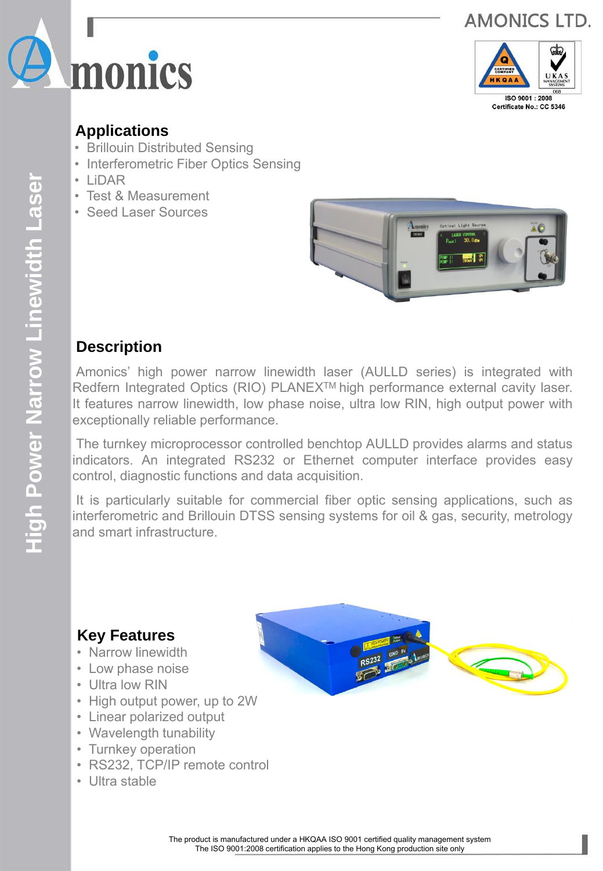





Certificate No.: CC 5346

### **Applications**

- Brillouin Distributed Sensing
- Interferometric Fiber Optics Sensing
- LiDAR
- Test & Measurement
- Seed Laser Sources



## **Description**

Amonics' high power narrow linewidth laser (AULLD series) is integrated with Redfern Integrated Optics (RIO) PLANEX<sup>™</sup> high performance external cavity laser. It features narrow linewidth, low phase noise, ultra low RIN, high output power with exceptionally reliable performance.

The turnkey microprocessor controlled benchtop AULLD provides alarms and status indicators. An integrated RS232 or Ethernet computer interface provides easy control, diagnostic functions and data acquisition.

It is particularly suitable for commercial fiber optic sensing applications, such as interferometric and Brillouin DTSS sensing systems for oil & gas, security, metrology and smart infrastructure.

## **Key Features**

- Narrow linewidth
- Low phase noise
- Ultra low RIN
- High output power, up to 2W
- Linear polarized output
- Wavelength tunability
- Turnkey operation
- RS232, TCP/IP remote control
- Ultra stable